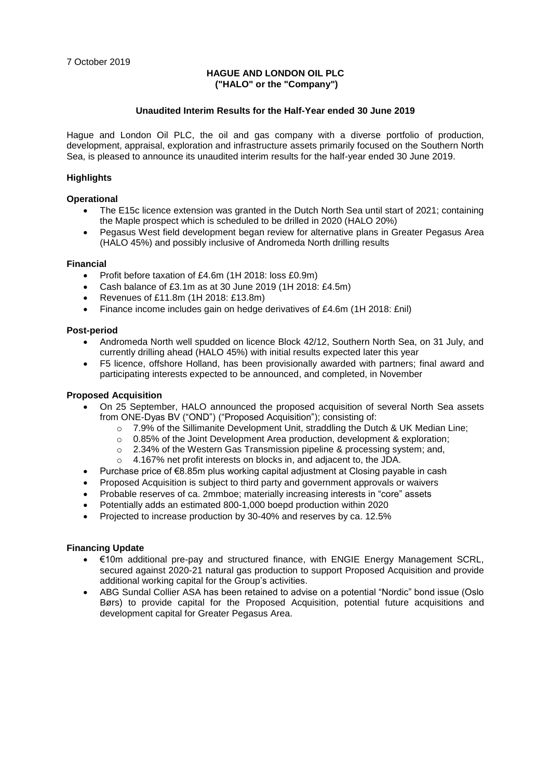### **HAGUE AND LONDON OIL PLC ("HALO" or the "Company")**

### **Unaudited Interim Results for the Half-Year ended 30 June 2019**

Hague and London Oil PLC, the oil and gas company with a diverse portfolio of production, development, appraisal, exploration and infrastructure assets primarily focused on the Southern North Sea, is pleased to announce its unaudited interim results for the half-year ended 30 June 2019.

## **Highlights**

### **Operational**

- The E15c licence extension was granted in the Dutch North Sea until start of 2021; containing the Maple prospect which is scheduled to be drilled in 2020 (HALO 20%)
- Pegasus West field development began review for alternative plans in Greater Pegasus Area (HALO 45%) and possibly inclusive of Andromeda North drilling results

### **Financial**

- Profit before taxation of £4.6m (1H 2018: loss £0.9m)
- Cash balance of £3.1m as at 30 June 2019 (1H 2018: £4.5m)
- Revenues of £11.8m (1H 2018: £13.8m)
- Finance income includes gain on hedge derivatives of £4.6m (1H 2018: £nil)

### **Post-period**

- Andromeda North well spudded on licence Block 42/12, Southern North Sea, on 31 July, and currently drilling ahead (HALO 45%) with initial results expected later this year
- F5 licence, offshore Holland, has been provisionally awarded with partners; final award and participating interests expected to be announced, and completed, in November

### **Proposed Acquisition**

- On 25 September, HALO announced the proposed acquisition of several North Sea assets from ONE-Dyas BV ("OND") ("Proposed Acquisition"); consisting of:
	- $\circ$  7.9% of the Sillimanite Development Unit, straddling the Dutch & UK Median Line;
	- $\circ$  0.85% of the Joint Development Area production, development & exploration;
	- o 2.34% of the Western Gas Transmission pipeline & processing system; and,
	- o 4.167% net profit interests on blocks in, and adjacent to, the JDA.
- Purchase price of €8.85m plus working capital adjustment at Closing payable in cash
- Proposed Acquisition is subject to third party and government approvals or waivers
- Probable reserves of ca. 2mmboe; materially increasing interests in "core" assets
- Potentially adds an estimated 800-1,000 boepd production within 2020
- Projected to increase production by 30-40% and reserves by ca. 12.5%

## **Financing Update**

- €10m additional pre-pay and structured finance, with ENGIE Energy Management SCRL, secured against 2020-21 natural gas production to support Proposed Acquisition and provide additional working capital for the Group's activities.
- ABG Sundal Collier ASA has been retained to advise on a potential "Nordic" bond issue (Oslo Børs) to provide capital for the Proposed Acquisition, potential future acquisitions and development capital for Greater Pegasus Area.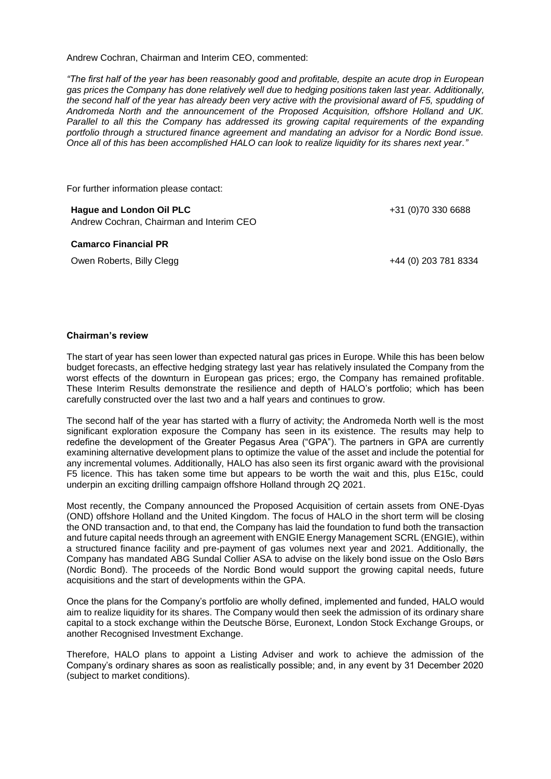Andrew Cochran, Chairman and Interim CEO, commented:

*"The first half of the year has been reasonably good and profitable, despite an acute drop in European gas prices the Company has done relatively well due to hedging positions taken last year. Additionally,*  the second half of the year has already been very active with the provisional award of F5, spudding of *Andromeda North and the announcement of the Proposed Acquisition, offshore Holland and UK. Parallel to all this the Company has addressed its growing capital requirements of the expanding portfolio through a structured finance agreement and mandating an advisor for a Nordic Bond issue. Once all of this has been accomplished HALO can look to realize liquidity for its shares next year."*

For further information please contact:

**Hague and London Oil PLC** Andrew Cochran, Chairman and Interim CEO

#### **Camarco Financial PR**

Owen Roberts, Billy Clegg +44 (0) 203 781 8334

+31 (0)70 330 6688

### **Chairman's review**

The start of year has seen lower than expected natural gas prices in Europe. While this has been below budget forecasts, an effective hedging strategy last year has relatively insulated the Company from the worst effects of the downturn in European gas prices; ergo, the Company has remained profitable. These Interim Results demonstrate the resilience and depth of HALO's portfolio; which has been carefully constructed over the last two and a half years and continues to grow.

The second half of the year has started with a flurry of activity; the Andromeda North well is the most significant exploration exposure the Company has seen in its existence. The results may help to redefine the development of the Greater Pegasus Area ("GPA"). The partners in GPA are currently examining alternative development plans to optimize the value of the asset and include the potential for any incremental volumes. Additionally, HALO has also seen its first organic award with the provisional F5 licence. This has taken some time but appears to be worth the wait and this, plus E15c, could underpin an exciting drilling campaign offshore Holland through 2Q 2021.

Most recently, the Company announced the Proposed Acquisition of certain assets from ONE-Dyas (OND) offshore Holland and the United Kingdom. The focus of HALO in the short term will be closing the OND transaction and, to that end, the Company has laid the foundation to fund both the transaction and future capital needs through an agreement with ENGIE Energy Management SCRL (ENGIE), within a structured finance facility and pre-payment of gas volumes next year and 2021. Additionally, the Company has mandated ABG Sundal Collier ASA to advise on the likely bond issue on the Oslo Børs (Nordic Bond). The proceeds of the Nordic Bond would support the growing capital needs, future acquisitions and the start of developments within the GPA.

Once the plans for the Company's portfolio are wholly defined, implemented and funded, HALO would aim to realize liquidity for its shares. The Company would then seek the admission of its ordinary share capital to a stock exchange within the Deutsche Börse, Euronext, London Stock Exchange Groups, or another Recognised Investment Exchange.

Therefore, HALO plans to appoint a Listing Adviser and work to achieve the admission of the Company's ordinary shares as soon as realistically possible; and, in any event by 31 December 2020 (subject to market conditions).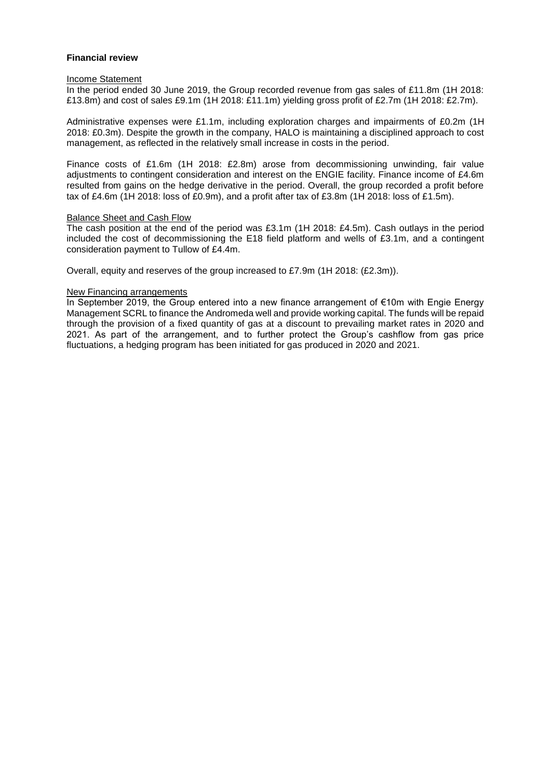### **Financial review**

### Income Statement

In the period ended 30 June 2019, the Group recorded revenue from gas sales of £11.8m (1H 2018: £13.8m) and cost of sales £9.1m (1H 2018: £11.1m) yielding gross profit of £2.7m (1H 2018: £2.7m).

Administrative expenses were £1.1m, including exploration charges and impairments of £0.2m (1H 2018: £0.3m). Despite the growth in the company, HALO is maintaining a disciplined approach to cost management, as reflected in the relatively small increase in costs in the period.

Finance costs of £1.6m (1H 2018: £2.8m) arose from decommissioning unwinding, fair value adjustments to contingent consideration and interest on the ENGIE facility. Finance income of £4.6m resulted from gains on the hedge derivative in the period. Overall, the group recorded a profit before tax of £4.6m (1H 2018: loss of £0.9m), and a profit after tax of £3.8m (1H 2018: loss of £1.5m).

### Balance Sheet and Cash Flow

The cash position at the end of the period was £3.1m (1H 2018: £4.5m). Cash outlays in the period included the cost of decommissioning the E18 field platform and wells of £3.1m, and a contingent consideration payment to Tullow of £4.4m.

Overall, equity and reserves of the group increased to £7.9m (1H 2018: (£2.3m)).

### New Financing arrangements

In September 2019, the Group entered into a new finance arrangement of €10m with Engie Energy Management SCRL to finance the Andromeda well and provide working capital. The funds will be repaid through the provision of a fixed quantity of gas at a discount to prevailing market rates in 2020 and 2021. As part of the arrangement, and to further protect the Group's cashflow from gas price fluctuations, a hedging program has been initiated for gas produced in 2020 and 2021.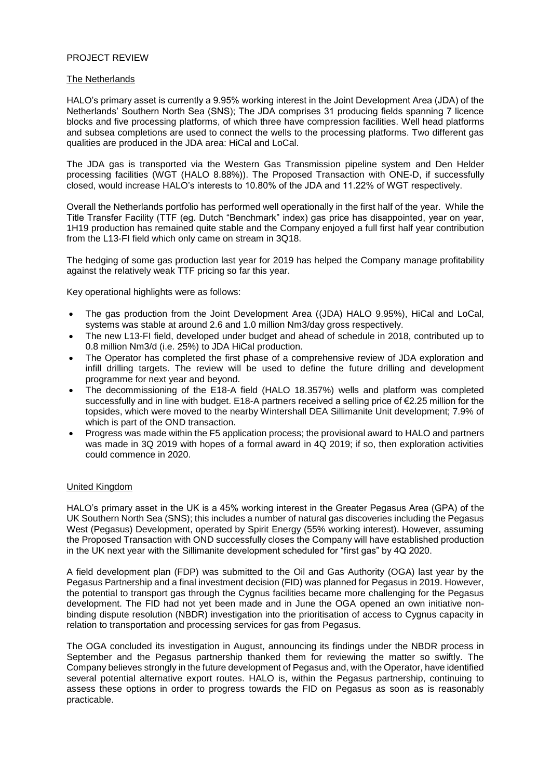### PROJECT REVIEW

### The Netherlands

HALO's primary asset is currently a 9.95% working interest in the Joint Development Area (JDA) of the Netherlands' Southern North Sea (SNS); The JDA comprises 31 producing fields spanning 7 licence blocks and five processing platforms, of which three have compression facilities. Well head platforms and subsea completions are used to connect the wells to the processing platforms. Two different gas qualities are produced in the JDA area: HiCal and LoCal.

The JDA gas is transported via the Western Gas Transmission pipeline system and Den Helder processing facilities (WGT (HALO 8.88%)). The Proposed Transaction with ONE-D, if successfully closed, would increase HALO's interests to 10.80% of the JDA and 11.22% of WGT respectively.

Overall the Netherlands portfolio has performed well operationally in the first half of the year. While the Title Transfer Facility (TTF (eg. Dutch "Benchmark" index) gas price has disappointed, year on year, 1H19 production has remained quite stable and the Company enjoyed a full first half year contribution from the L13-FI field which only came on stream in 3Q18.

The hedging of some gas production last year for 2019 has helped the Company manage profitability against the relatively weak TTF pricing so far this year.

Key operational highlights were as follows:

- The gas production from the Joint Development Area ((JDA) HALO 9.95%), HiCal and LoCal, systems was stable at around 2.6 and 1.0 million Nm3/day gross respectively.
- The new L13-FI field, developed under budget and ahead of schedule in 2018, contributed up to 0.8 million Nm3/d (i.e. 25%) to JDA HiCal production.
- The Operator has completed the first phase of a comprehensive review of JDA exploration and infill drilling targets. The review will be used to define the future drilling and development programme for next year and beyond.
- The decommissioning of the E18-A field (HALO 18.357%) wells and platform was completed successfully and in line with budget. E18-A partners received a selling price of €2.25 million for the topsides, which were moved to the nearby Wintershall DEA Sillimanite Unit development; 7.9% of which is part of the OND transaction.
- Progress was made within the F5 application process; the provisional award to HALO and partners was made in 3Q 2019 with hopes of a formal award in 4Q 2019; if so, then exploration activities could commence in 2020.

### United Kingdom

HALO's primary asset in the UK is a 45% working interest in the Greater Pegasus Area (GPA) of the UK Southern North Sea (SNS); this includes a number of natural gas discoveries including the Pegasus West (Pegasus) Development, operated by Spirit Energy (55% working interest). However, assuming the Proposed Transaction with OND successfully closes the Company will have established production in the UK next year with the Sillimanite development scheduled for "first gas" by 4Q 2020.

A field development plan (FDP) was submitted to the Oil and Gas Authority (OGA) last year by the Pegasus Partnership and a final investment decision (FID) was planned for Pegasus in 2019. However, the potential to transport gas through the Cygnus facilities became more challenging for the Pegasus development. The FID had not yet been made and in June the OGA opened an own initiative nonbinding dispute resolution (NBDR) investigation into the prioritisation of access to Cygnus capacity in relation to transportation and processing services for gas from Pegasus.

The OGA concluded its investigation in August, announcing its findings under the NBDR process in September and the Pegasus partnership thanked them for reviewing the matter so swiftly. The Company believes strongly in the future development of Pegasus and, with the Operator, have identified several potential alternative export routes. HALO is, within the Pegasus partnership, continuing to assess these options in order to progress towards the FID on Pegasus as soon as is reasonably practicable.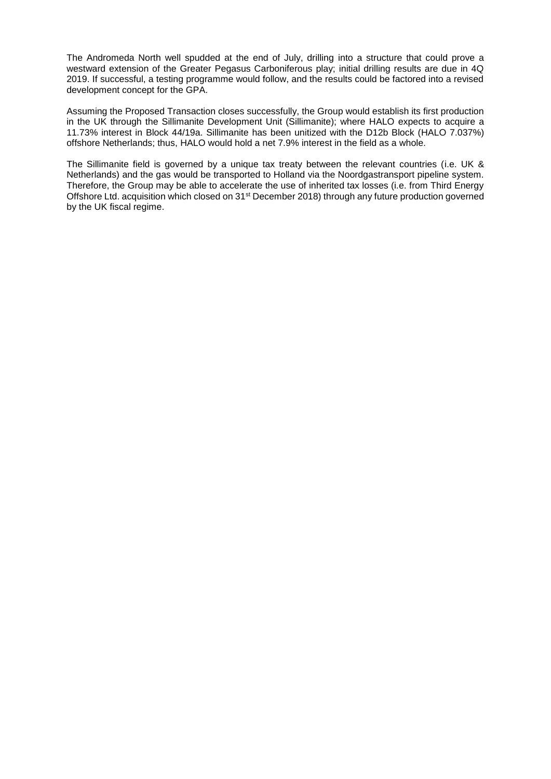The Andromeda North well spudded at the end of July, drilling into a structure that could prove a westward extension of the Greater Pegasus Carboniferous play; initial drilling results are due in 4Q 2019. If successful, a testing programme would follow, and the results could be factored into a revised development concept for the GPA.

Assuming the Proposed Transaction closes successfully, the Group would establish its first production in the UK through the Sillimanite Development Unit (Sillimanite); where HALO expects to acquire a 11.73% interest in Block 44/19a. Sillimanite has been unitized with the D12b Block (HALO 7.037%) offshore Netherlands; thus, HALO would hold a net 7.9% interest in the field as a whole.

The Sillimanite field is governed by a unique tax treaty between the relevant countries (i.e. UK & Netherlands) and the gas would be transported to Holland via the Noordgastransport pipeline system. Therefore, the Group may be able to accelerate the use of inherited tax losses (i.e. from Third Energy Offshore Ltd. acquisition which closed on 31<sup>st</sup> December 2018) through any future production governed by the UK fiscal regime.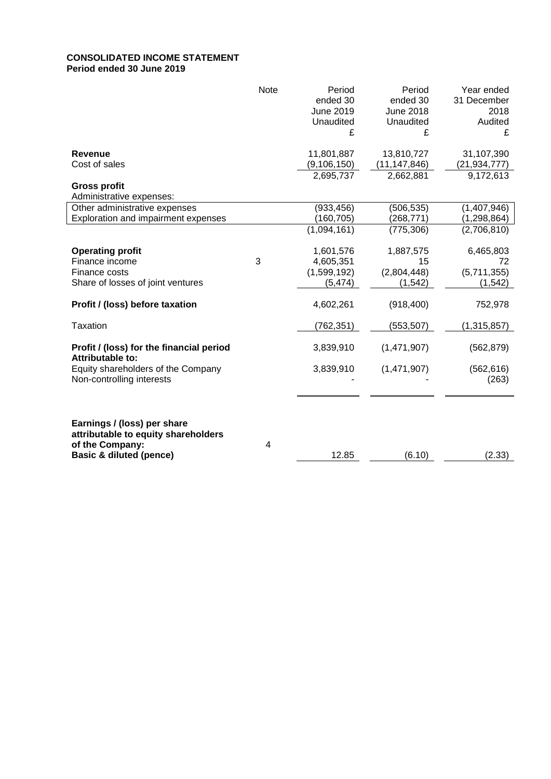## **CONSOLIDATED INCOME STATEMENT Period ended 30 June 2019**

|                                                                    | <b>Note</b> | Period<br>ended 30<br>June 2019<br>Unaudited<br>£ | Period<br>ended 30<br><b>June 2018</b><br>Unaudited<br>£ | Year ended<br>31 December<br>2018<br>Audited<br>£ |
|--------------------------------------------------------------------|-------------|---------------------------------------------------|----------------------------------------------------------|---------------------------------------------------|
| <b>Revenue</b>                                                     |             | 11,801,887                                        | 13,810,727                                               | 31,107,390                                        |
| Cost of sales                                                      |             | (9, 106, 150)                                     | (11, 147, 846)                                           | (21, 934, 777)                                    |
|                                                                    |             | 2,695,737                                         | 2,662,881                                                | 9,172,613                                         |
| <b>Gross profit</b><br>Administrative expenses:                    |             |                                                   |                                                          |                                                   |
| Other administrative expenses                                      |             | (933, 456)                                        | (506, 535)                                               | (1,407,946)                                       |
| Exploration and impairment expenses                                |             | (160, 705)                                        | (268, 771)                                               | (1, 298, 864)                                     |
|                                                                    |             | (1,094,161)                                       | (775, 306)                                               | (2,706,810)                                       |
| <b>Operating profit</b>                                            |             | 1,601,576                                         | 1,887,575                                                | 6,465,803                                         |
| Finance income                                                     | 3           | 4,605,351                                         | 15                                                       | 72                                                |
| Finance costs                                                      |             | (1,599,192)                                       | (2,804,448)                                              | (5,711,355)                                       |
| Share of losses of joint ventures                                  |             | (5, 474)                                          | (1, 542)                                                 | (1, 542)                                          |
| Profit / (loss) before taxation                                    |             | 4,602,261                                         | (918, 400)                                               | 752,978                                           |
| Taxation                                                           |             | (762, 351)                                        | (553, 507)                                               | (1,315,857)                                       |
| Profit / (loss) for the financial period<br>Attributable to:       |             | 3,839,910                                         | (1,471,907)                                              | (562, 879)                                        |
| Equity shareholders of the Company<br>Non-controlling interests    |             | 3,839,910                                         | (1,471,907)                                              | (562, 616)<br>(263)                               |
|                                                                    |             |                                                   |                                                          |                                                   |
| Earnings / (loss) per share<br>attributable to equity shareholders |             |                                                   |                                                          |                                                   |
| of the Company:                                                    | 4           |                                                   |                                                          |                                                   |
| <b>Basic &amp; diluted (pence)</b>                                 |             | 12.85                                             | (6.10)                                                   | (2.33)                                            |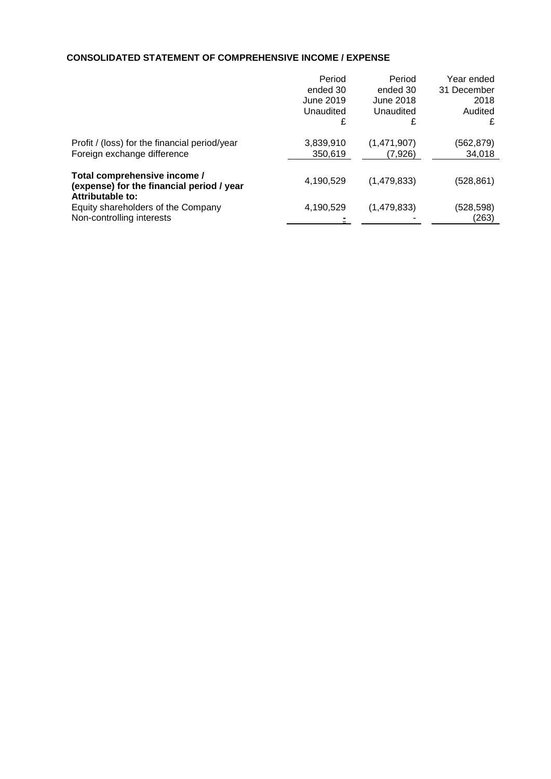# **CONSOLIDATED STATEMENT OF COMPREHENSIVE INCOME / EXPENSE**

|                                                                      | Period    | Period      | Year ended  |
|----------------------------------------------------------------------|-----------|-------------|-------------|
|                                                                      | ended 30  | ended 30    | 31 December |
|                                                                      | June 2019 | June 2018   | 2018        |
|                                                                      | Unaudited | Unaudited   | Audited     |
|                                                                      | £         | £           | £           |
| Profit / (loss) for the financial period/year                        | 3,839,910 | (1,471,907) | (562, 879)  |
| Foreign exchange difference                                          | 350,619   | (7,926)     | 34,018      |
| Total comprehensive income /                                         | 4,190,529 | (1,479,833) | (528, 861)  |
| (expense) for the financial period / year<br><b>Attributable to:</b> |           |             |             |
| Equity shareholders of the Company                                   | 4,190,529 | (1,479,833) | (528, 598)  |
| Non-controlling interests                                            |           |             | (263)       |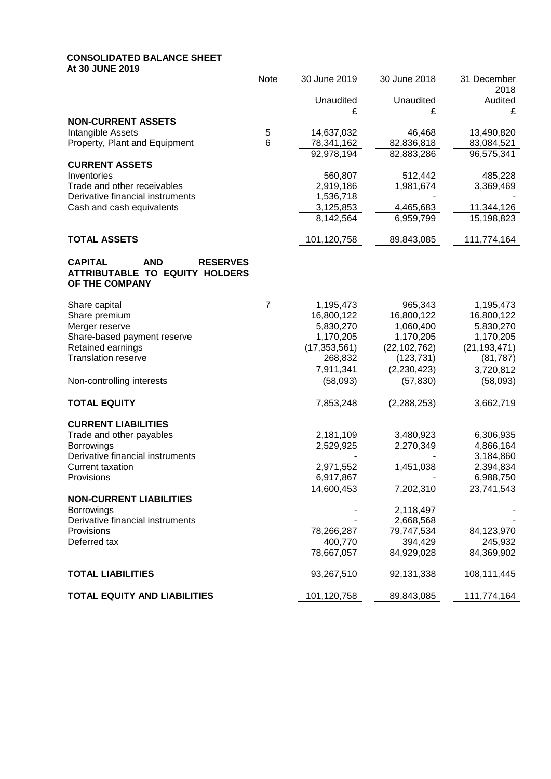# **CONSOLIDATED BALANCE SHEET**

**At 30 JUNE 2019**

|                                                                 | Note           | 30 June 2019           | 30 June 2018           | 31 December<br>2018 |
|-----------------------------------------------------------------|----------------|------------------------|------------------------|---------------------|
|                                                                 |                | Unaudited              | Unaudited              | Audited             |
|                                                                 |                | £                      | £                      | £                   |
| <b>NON-CURRENT ASSETS</b>                                       |                |                        |                        |                     |
| Intangible Assets                                               | 5              | 14,637,032             | 46,468                 | 13,490,820          |
| Property, Plant and Equipment                                   | 6              | 78,341,162             | 82,836,818             | 83,084,521          |
|                                                                 |                | 92,978,194             | 82,883,286             | 96,575,341          |
| <b>CURRENT ASSETS</b>                                           |                |                        |                        |                     |
| Inventories                                                     |                | 560,807                | 512,442                | 485,228             |
| Trade and other receivables<br>Derivative financial instruments |                | 2,919,186<br>1,536,718 | 1,981,674              | 3,369,469           |
| Cash and cash equivalents                                       |                | 3,125,853              | 4,465,683              | 11,344,126          |
|                                                                 |                | 8,142,564              | 6,959,799              | 15,198,823          |
|                                                                 |                |                        |                        |                     |
| <b>TOTAL ASSETS</b>                                             |                | 101,120,758            | 89,843,085             | 111,774,164         |
| <b>CAPITAL</b><br><b>AND</b><br><b>RESERVES</b>                 |                |                        |                        |                     |
| ATTRIBUTABLE TO EQUITY HOLDERS                                  |                |                        |                        |                     |
| OF THE COMPANY                                                  |                |                        |                        |                     |
| Share capital                                                   | $\overline{7}$ | 1,195,473              | 965,343                | 1,195,473           |
| Share premium                                                   |                | 16,800,122             | 16,800,122             | 16,800,122          |
| Merger reserve                                                  |                | 5,830,270              | 1,060,400              | 5,830,270           |
| Share-based payment reserve                                     |                | 1,170,205              | 1,170,205              | 1,170,205           |
| Retained earnings                                               |                | (17, 353, 561)         | (22, 102, 762)         | (21, 193, 471)      |
| <b>Translation reserve</b>                                      |                | 268,832                | (123, 731)             | (81, 787)           |
|                                                                 |                | 7,911,341              | (2,230,423)            | 3,720,812           |
| Non-controlling interests                                       |                | (58,093)               | (57, 830)              | (58,093)            |
|                                                                 |                |                        |                        |                     |
| <b>TOTAL EQUITY</b>                                             |                | 7,853,248              | (2,288,253)            | 3,662,719           |
| <b>CURRENT LIABILITIES</b>                                      |                |                        |                        |                     |
| Trade and other payables                                        |                | 2,181,109              | 3,480,923              | 6,306,935           |
| Borrowings                                                      |                | 2,529,925              | 2,270,349              | 4,866,164           |
| Derivative financial instruments                                |                |                        |                        | 3,184,860           |
| <b>Current taxation</b>                                         |                | 2,971,552              | 1,451,038              | 2,394,834           |
| Provisions                                                      |                | 6,917,867              |                        | 6,988,750           |
|                                                                 |                | 14,600,453             | 7,202,310              | 23,741,543          |
| <b>NON-CURRENT LIABILITIES</b>                                  |                |                        |                        |                     |
| <b>Borrowings</b><br>Derivative financial instruments           |                |                        | 2,118,497<br>2,668,568 |                     |
| Provisions                                                      |                | 78,266,287             | 79,747,534             | 84,123,970          |
| Deferred tax                                                    |                | 400,770                | 394,429                | 245,932             |
|                                                                 |                | 78,667,057             | 84,929,028             | 84,369,902          |
|                                                                 |                |                        |                        |                     |
| <b>TOTAL LIABILITIES</b>                                        |                | 93,267,510             | 92,131,338             | 108,111,445         |
| <b>TOTAL EQUITY AND LIABILITIES</b>                             |                | 101,120,758            | 89,843,085             | 111,774,164         |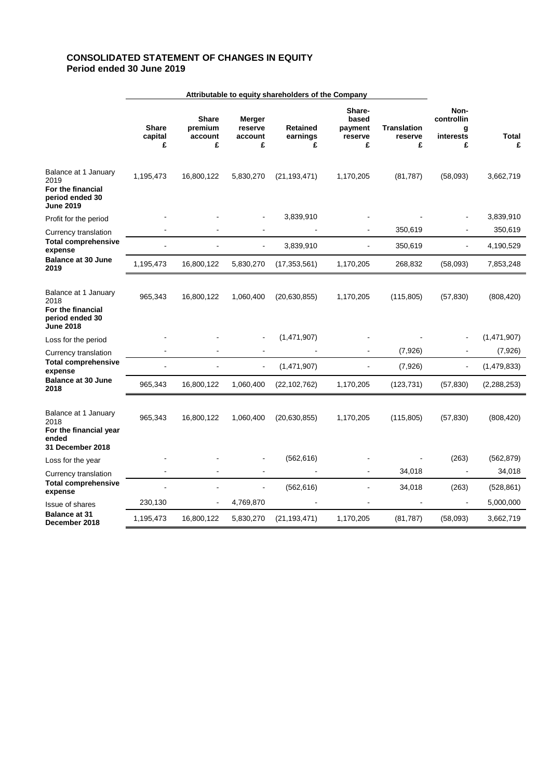## **CONSOLIDATED STATEMENT OF CHANGES IN EQUITY Period ended 30 June 2019**

|                                                                                            | Attributable to equity shareholders of the Company |                                         |                                   |                                  |                                            |                                    |                                           |                   |
|--------------------------------------------------------------------------------------------|----------------------------------------------------|-----------------------------------------|-----------------------------------|----------------------------------|--------------------------------------------|------------------------------------|-------------------------------------------|-------------------|
|                                                                                            | <b>Share</b><br>capital<br>£                       | <b>Share</b><br>premium<br>account<br>£ | Merger<br>reserve<br>account<br>£ | <b>Retained</b><br>earnings<br>£ | Share-<br>based<br>payment<br>reserve<br>£ | <b>Translation</b><br>reserve<br>£ | Non-<br>controllin<br>g<br>interests<br>£ | <b>Total</b><br>£ |
| Balance at 1 January<br>2019<br>For the financial<br>period ended 30<br><b>June 2019</b>   | 1,195,473                                          | 16,800,122                              | 5,830,270                         | (21, 193, 471)                   | 1,170,205                                  | (81, 787)                          | (58,093)                                  | 3,662,719         |
| Profit for the period                                                                      |                                                    |                                         |                                   | 3,839,910                        |                                            |                                    |                                           | 3,839,910         |
| Currency translation                                                                       |                                                    |                                         |                                   |                                  |                                            | 350,619                            |                                           | 350,619           |
| <b>Total comprehensive</b><br>expense                                                      |                                                    |                                         |                                   | 3,839,910                        | L,                                         | 350,619                            |                                           | 4,190,529         |
| <b>Balance at 30 June</b><br>2019                                                          | 1,195,473                                          | 16,800,122                              | 5,830,270                         | (17, 353, 561)                   | 1,170,205                                  | 268,832                            | (58,093)                                  | 7,853,248         |
| Balance at 1 January<br>2018<br>For the financial<br>period ended 30<br><b>June 2018</b>   | 965,343                                            | 16,800,122                              | 1,060,400                         | (20, 630, 855)                   | 1,170,205                                  | (115, 805)                         | (57, 830)                                 | (808, 420)        |
| Loss for the period                                                                        |                                                    |                                         |                                   | (1,471,907)                      |                                            |                                    |                                           | (1,471,907)       |
| Currency translation                                                                       |                                                    |                                         |                                   |                                  |                                            | (7,926)                            |                                           | (7,926)           |
| <b>Total comprehensive</b><br>expense                                                      |                                                    |                                         | $\blacksquare$                    | (1,471,907)                      | L.                                         | (7,926)                            | $\blacksquare$                            | (1,479,833)       |
| Balance at 30 June<br>2018                                                                 | 965,343                                            | 16,800,122                              | 1,060,400                         | (22, 102, 762)                   | 1,170,205                                  | (123, 731)                         | (57, 830)                                 | (2, 288, 253)     |
| Balance at 1 January<br>2018<br>For the financial year<br>ended<br><b>31 December 2018</b> | 965,343                                            | 16,800,122                              | 1,060,400                         | (20, 630, 855)                   | 1,170,205                                  | (115, 805)                         | (57, 830)                                 | (808, 420)        |
| Loss for the year                                                                          |                                                    |                                         |                                   | (562, 616)                       |                                            |                                    | (263)                                     | (562, 879)        |
| Currency translation                                                                       |                                                    |                                         |                                   |                                  | L,                                         | 34,018                             | $\blacksquare$                            | 34,018            |
| <b>Total comprehensive</b><br>expense                                                      |                                                    |                                         |                                   | (562, 616)                       |                                            | 34,018                             | (263)                                     | (528, 861)        |
| Issue of shares                                                                            | 230,130                                            |                                         | 4,769,870                         |                                  |                                            |                                    |                                           | 5,000,000         |
| <b>Balance at 31</b><br>December 2018                                                      | 1,195,473                                          | 16,800,122                              | 5,830,270                         | (21, 193, 471)                   | 1,170,205                                  | (81, 787)                          | (58,093)                                  | 3,662,719         |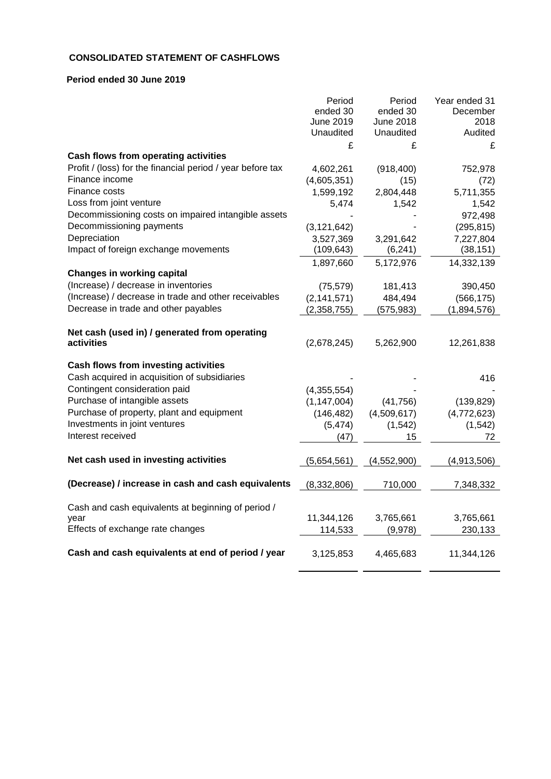## **CONSOLIDATED STATEMENT OF CASHFLOWS**

## **Period ended 30 June 2019**

|                                                            | Period           | Period      | Year ended 31 |
|------------------------------------------------------------|------------------|-------------|---------------|
|                                                            | ended 30         | ended 30    | December      |
|                                                            | <b>June 2019</b> | June 2018   | 2018          |
|                                                            | Unaudited        | Unaudited   | Audited       |
|                                                            | £                | £           | £             |
| Cash flows from operating activities                       |                  |             |               |
| Profit / (loss) for the financial period / year before tax | 4,602,261        | (918, 400)  | 752,978       |
| Finance income                                             | (4,605,351)      | (15)        | (72)          |
| Finance costs                                              | 1,599,192        | 2,804,448   | 5,711,355     |
| Loss from joint venture                                    | 5,474            | 1,542       | 1,542         |
| Decommissioning costs on impaired intangible assets        |                  |             | 972,498       |
| Decommissioning payments                                   | (3, 121, 642)    |             | (295, 815)    |
| Depreciation                                               | 3,527,369        | 3,291,642   | 7,227,804     |
| Impact of foreign exchange movements                       | (109, 643)       | (6, 241)    | (38, 151)     |
|                                                            | 1,897,660        | 5,172,976   | 14,332,139    |
| <b>Changes in working capital</b>                          |                  |             |               |
| (Increase) / decrease in inventories                       | (75, 579)        | 181,413     | 390,450       |
| (Increase) / decrease in trade and other receivables       | (2, 141, 571)    | 484,494     | (566, 175)    |
| Decrease in trade and other payables                       | (2,358,755)      | (575, 983)  | (1,894,576)   |
|                                                            |                  |             |               |
| Net cash (used in) / generated from operating              |                  |             |               |
| activities                                                 | (2,678,245)      | 5,262,900   | 12,261,838    |
|                                                            |                  |             |               |
| Cash flows from investing activities                       |                  |             |               |
| Cash acquired in acquisition of subsidiaries               |                  |             | 416           |
| Contingent consideration paid                              | (4,355,554)      |             |               |
| Purchase of intangible assets                              | (1, 147, 004)    | (41, 756)   | (139, 829)    |
| Purchase of property, plant and equipment                  | (146, 482)       | (4,509,617) | (4,772,623)   |
| Investments in joint ventures                              | (5, 474)         | (1, 542)    | (1, 542)      |
| Interest received                                          | (47)             | 15          | 72            |
|                                                            |                  |             |               |
| Net cash used in investing activities                      | (5,654,561)      | (4,552,900) | (4,913,506)   |
|                                                            |                  |             |               |
| (Decrease) / increase in cash and cash equivalents         | (8,332,806)      | 710,000     | 7,348,332     |
|                                                            |                  |             |               |
| Cash and cash equivalents at beginning of period /         |                  |             |               |
| year                                                       | 11,344,126       | 3,765,661   | 3,765,661     |
| Effects of exchange rate changes                           | 114,533          | (9,978)     | 230,133       |
|                                                            |                  |             |               |
| Cash and cash equivalents at end of period / year          | 3,125,853        | 4,465,683   | 11,344,126    |
|                                                            |                  |             |               |
|                                                            |                  |             |               |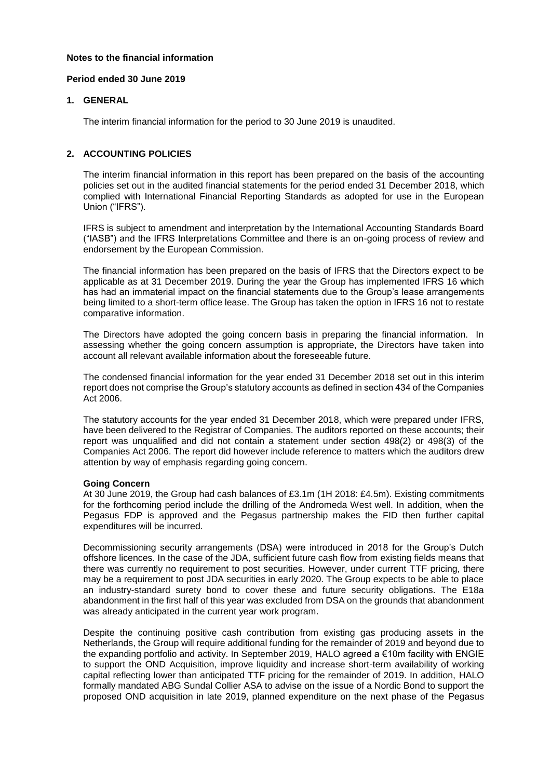### **Notes to the financial information**

### **Period ended 30 June 2019**

### **1. GENERAL**

The interim financial information for the period to 30 June 2019 is unaudited.

### **2. ACCOUNTING POLICIES**

The interim financial information in this report has been prepared on the basis of the accounting policies set out in the audited financial statements for the period ended 31 December 2018, which complied with International Financial Reporting Standards as adopted for use in the European Union ("IFRS").

IFRS is subject to amendment and interpretation by the International Accounting Standards Board ("IASB") and the IFRS Interpretations Committee and there is an on-going process of review and endorsement by the European Commission.

The financial information has been prepared on the basis of IFRS that the Directors expect to be applicable as at 31 December 2019. During the year the Group has implemented IFRS 16 which has had an immaterial impact on the financial statements due to the Group's lease arrangements being limited to a short-term office lease. The Group has taken the option in IFRS 16 not to restate comparative information.

The Directors have adopted the going concern basis in preparing the financial information. In assessing whether the going concern assumption is appropriate, the Directors have taken into account all relevant available information about the foreseeable future.

The condensed financial information for the year ended 31 December 2018 set out in this interim report does not comprise the Group's statutory accounts as defined in section 434 of the Companies Act 2006.

The statutory accounts for the year ended 31 December 2018, which were prepared under IFRS, have been delivered to the Registrar of Companies. The auditors reported on these accounts; their report was unqualified and did not contain a statement under section 498(2) or 498(3) of the Companies Act 2006. The report did however include reference to matters which the auditors drew attention by way of emphasis regarding going concern.

## **Going Concern**

At 30 June 2019, the Group had cash balances of £3.1m (1H 2018: £4.5m). Existing commitments for the forthcoming period include the drilling of the Andromeda West well. In addition, when the Pegasus FDP is approved and the Pegasus partnership makes the FID then further capital expenditures will be incurred.

Decommissioning security arrangements (DSA) were introduced in 2018 for the Group's Dutch offshore licences. In the case of the JDA, sufficient future cash flow from existing fields means that there was currently no requirement to post securities. However, under current TTF pricing, there may be a requirement to post JDA securities in early 2020. The Group expects to be able to place an industry-standard surety bond to cover these and future security obligations. The E18a abandonment in the first half of this year was excluded from DSA on the grounds that abandonment was already anticipated in the current year work program.

Despite the continuing positive cash contribution from existing gas producing assets in the Netherlands, the Group will require additional funding for the remainder of 2019 and beyond due to the expanding portfolio and activity. In September 2019, HALO agreed a €10m facility with ENGIE to support the OND Acquisition, improve liquidity and increase short-term availability of working capital reflecting lower than anticipated TTF pricing for the remainder of 2019. In addition, HALO formally mandated ABG Sundal Collier ASA to advise on the issue of a Nordic Bond to support the proposed OND acquisition in late 2019, planned expenditure on the next phase of the Pegasus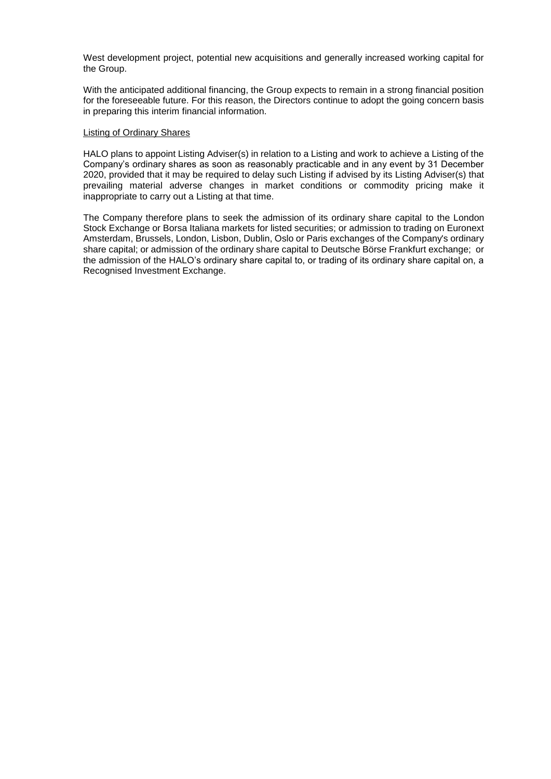West development project, potential new acquisitions and generally increased working capital for the Group.

With the anticipated additional financing, the Group expects to remain in a strong financial position for the foreseeable future. For this reason, the Directors continue to adopt the going concern basis in preparing this interim financial information.

### Listing of Ordinary Shares

HALO plans to appoint Listing Adviser(s) in relation to a Listing and work to achieve a Listing of the Company's ordinary shares as soon as reasonably practicable and in any event by 31 December 2020, provided that it may be required to delay such Listing if advised by its Listing Adviser(s) that prevailing material adverse changes in market conditions or commodity pricing make it inappropriate to carry out a Listing at that time.

The Company therefore plans to seek the admission of its ordinary share capital to the London Stock Exchange or Borsa Italiana markets for listed securities; or admission to trading on Euronext Amsterdam, Brussels, London, Lisbon, Dublin, Oslo or Paris exchanges of the Company's ordinary share capital; or admission of the ordinary share capital to Deutsche Börse Frankfurt exchange; or the admission of the HALO's ordinary share capital to, or trading of its ordinary share capital on, a Recognised Investment Exchange.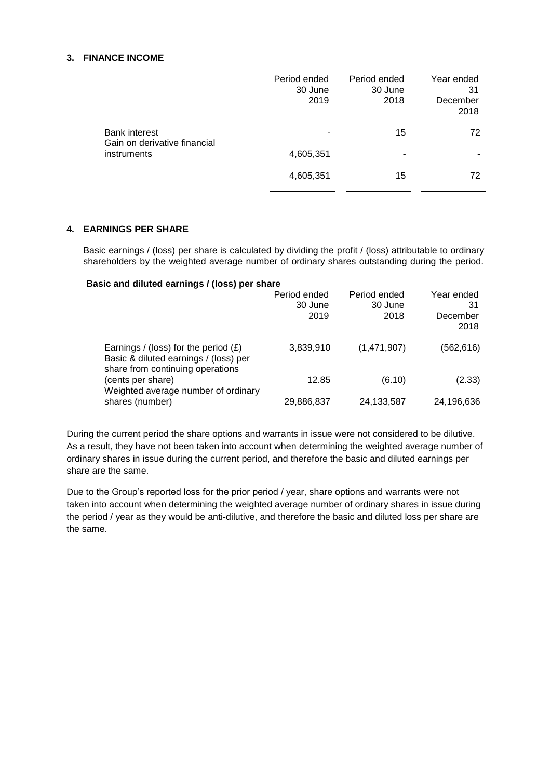### **3. FINANCE INCOME**

|                                                                     | Period ended<br>30 June<br>2019 | Period ended<br>30 June<br>2018 | Year ended<br>31<br>December<br>2018 |
|---------------------------------------------------------------------|---------------------------------|---------------------------------|--------------------------------------|
| <b>Bank interest</b><br>Gain on derivative financial<br>instruments |                                 | 15                              | 72                                   |
|                                                                     | 4,605,351                       | -                               |                                      |
|                                                                     | 4,605,351                       | 15                              | 72                                   |

## **4. EARNINGS PER SHARE**

Basic earnings / (loss) per share is calculated by dividing the profit / (loss) attributable to ordinary shareholders by the weighted average number of ordinary shares outstanding during the period.

## **Basic and diluted earnings / (loss) per share**

|                                                                                                                     | Period ended<br>30 June<br>2019 | Period ended<br>30 June<br>2018 | Year ended<br>31<br>December<br>2018 |
|---------------------------------------------------------------------------------------------------------------------|---------------------------------|---------------------------------|--------------------------------------|
| Earnings / (loss) for the period $(E)$<br>Basic & diluted earnings / (loss) per<br>share from continuing operations | 3,839,910                       | (1,471,907)                     | (562, 616)                           |
| (cents per share)                                                                                                   | 12.85                           | (6.10)                          | (2.33)                               |
| Weighted average number of ordinary<br>shares (number)                                                              | 29,886,837                      | 24,133,587                      | 24,196,636                           |

During the current period the share options and warrants in issue were not considered to be dilutive. As a result, they have not been taken into account when determining the weighted average number of ordinary shares in issue during the current period, and therefore the basic and diluted earnings per share are the same.

Due to the Group's reported loss for the prior period / year, share options and warrants were not taken into account when determining the weighted average number of ordinary shares in issue during the period / year as they would be anti-dilutive, and therefore the basic and diluted loss per share are the same.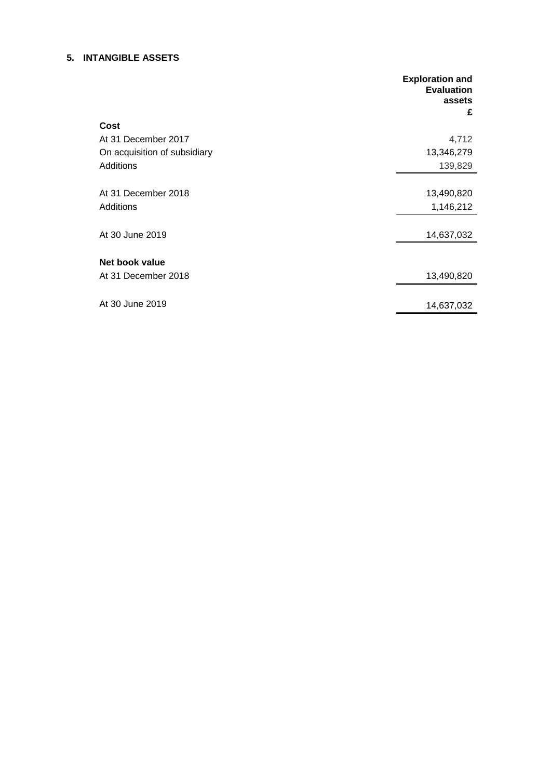## **5. INTANGIBLE ASSETS**

|                              | <b>Exploration and</b><br><b>Evaluation</b><br>assets<br>£ |
|------------------------------|------------------------------------------------------------|
| Cost                         |                                                            |
| At 31 December 2017          | 4,712                                                      |
| On acquisition of subsidiary | 13,346,279                                                 |
| Additions                    | 139,829                                                    |
|                              |                                                            |
| At 31 December 2018          | 13,490,820                                                 |
| Additions                    | 1,146,212                                                  |
|                              |                                                            |
| At 30 June 2019              | 14,637,032                                                 |
|                              |                                                            |
| Net book value               |                                                            |
| At 31 December 2018          | 13,490,820                                                 |
|                              |                                                            |
| At 30 June 2019              | 14,637,032                                                 |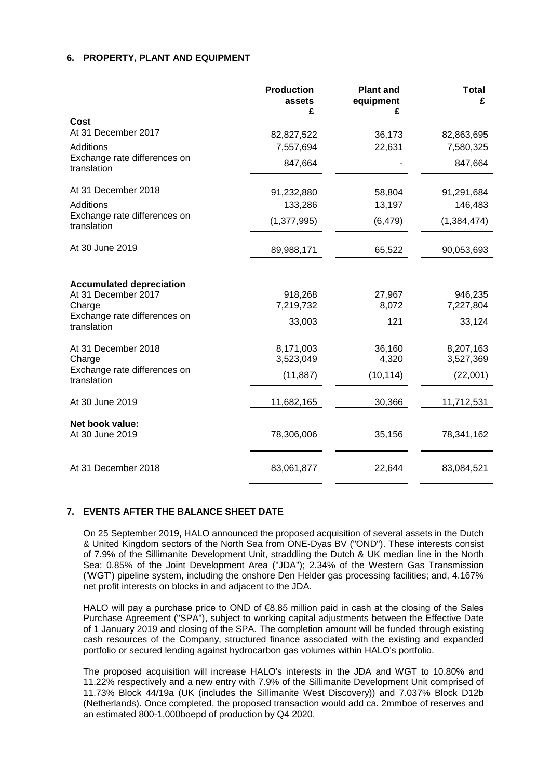### **6. PROPERTY, PLANT AND EQUIPMENT**

|                                             | <b>Production</b><br>assets<br>£ | <b>Plant and</b><br>equipment<br>£ | <b>Total</b><br>£ |
|---------------------------------------------|----------------------------------|------------------------------------|-------------------|
| Cost                                        |                                  |                                    |                   |
| At 31 December 2017                         | 82,827,522                       | 36,173                             | 82,863,695        |
| <b>Additions</b>                            | 7,557,694                        | 22,631                             | 7,580,325         |
| Exchange rate differences on<br>translation | 847,664                          |                                    | 847,664           |
| At 31 December 2018                         | 91,232,880                       | 58,804                             | 91,291,684        |
| <b>Additions</b>                            | 133,286                          | 13,197                             | 146,483           |
| Exchange rate differences on<br>translation | (1, 377, 995)                    | (6, 479)                           | (1, 384, 474)     |
| At 30 June 2019                             | 89,988,171                       | 65,522                             | 90,053,693        |
| <b>Accumulated depreciation</b>             |                                  |                                    |                   |
| At 31 December 2017                         | 918,268                          | 27,967                             | 946,235           |
| Charge                                      | 7,219,732                        | 8,072                              | 7,227,804         |
| Exchange rate differences on<br>translation | 33,003                           | 121                                | 33,124            |
| At 31 December 2018                         | 8,171,003                        | 36,160                             | 8,207,163         |
| Charge                                      | 3,523,049                        | 4,320                              | 3,527,369         |
| Exchange rate differences on<br>translation | (11, 887)                        | (10, 114)                          | (22,001)          |
| At 30 June 2019                             | 11,682,165                       | 30,366                             | 11,712,531        |
| Net book value:                             |                                  |                                    |                   |
| At 30 June 2019                             | 78,306,006                       | 35,156                             | 78,341,162        |
| At 31 December 2018                         | 83,061,877                       | 22,644                             | 83,084,521        |

### **7. EVENTS AFTER THE BALANCE SHEET DATE**

On 25 September 2019, HALO announced the proposed acquisition of several assets in the Dutch & United Kingdom sectors of the North Sea from ONE-Dyas BV ("OND"). These interests consist of 7.9% of the Sillimanite Development Unit, straddling the Dutch & UK median line in the North Sea; 0.85% of the Joint Development Area ("JDA"); 2.34% of the Western Gas Transmission ('WGT') pipeline system, including the onshore Den Helder gas processing facilities; and, 4.167% net profit interests on blocks in and adjacent to the JDA.

HALO will pay a purchase price to OND of €8.85 million paid in cash at the closing of the Sales Purchase Agreement ("SPA"), subject to working capital adjustments between the Effective Date of 1 January 2019 and closing of the SPA. The completion amount will be funded through existing cash resources of the Company, structured finance associated with the existing and expanded portfolio or secured lending against hydrocarbon gas volumes within HALO's portfolio.

The proposed acquisition will increase HALO's interests in the JDA and WGT to 10.80% and 11.22% respectively and a new entry with 7.9% of the Sillimanite Development Unit comprised of 11.73% Block 44/19a (UK (includes the Sillimanite West Discovery)) and 7.037% Block D12b (Netherlands). Once completed, the proposed transaction would add ca. 2mmboe of reserves and an estimated 800-1,000boepd of production by Q4 2020.